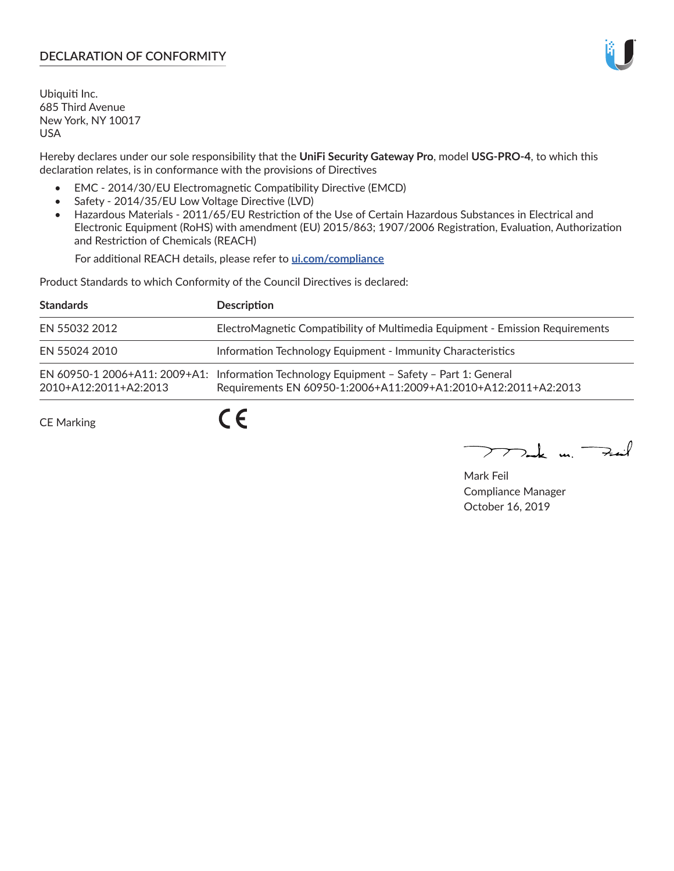# **DECLARATION OF CONFORMITY**

Ubiquiti Inc. 685 Third Avenue New York, NY 10017 USA

Hereby declares under our sole responsibility that the **UniFi Security Gateway Pro**, model **USG-PRO-4**, to which this declaration relates, is in conformance with the provisions of Directives

- EMC 2014/30/EU Electromagnetic Compatibility Directive (EMCD)
- Safety 2014/35/EU Low Voltage Directive (LVD)
- Hazardous Materials 2011/65/EU Restriction of the Use of Certain Hazardous Substances in Electrical and Electronic Equipment (RoHS) with amendment (EU) 2015/863; 1907/2006 Registration, Evaluation, Authorization and Restriction of Chemicals (REACH)

For additional REACH details, please refer to **[ui.com/compliance](https://dl.ui.com/compliance/REACH_Compliance_Declaration.pdf)**

Product Standards to which Conformity of the Council Directives is declared:

| <b>Standards</b>      | <b>Description</b>                                                                                                                                          |
|-----------------------|-------------------------------------------------------------------------------------------------------------------------------------------------------------|
| EN 55032 2012         | ElectroMagnetic Compatibility of Multimedia Equipment - Emission Requirements                                                                               |
| EN 55024 2010         | Information Technology Equipment - Immunity Characteristics                                                                                                 |
| 2010+A12:2011+A2:2013 | EN 60950-1 2006+A11: 2009+A1: Information Technology Equipment - Safety - Part 1: General<br>Requirements EN 60950-1:2006+A11:2009+A1:2010+A12:2011+A2:2013 |
| <b>CE Marking</b>     |                                                                                                                                                             |

Mak m. Fuil

Mark Feil Compliance Manager October 16, 2019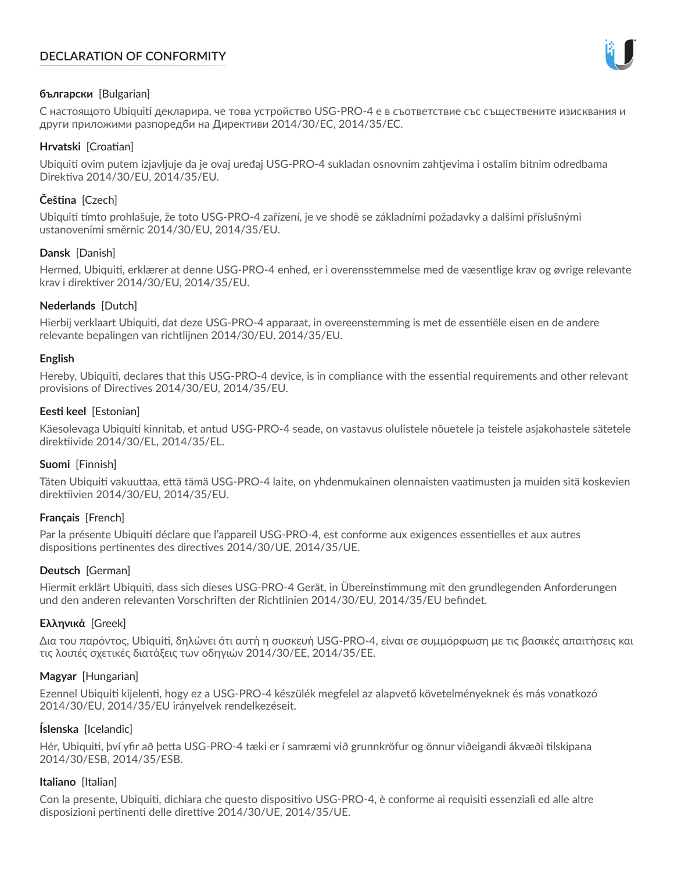# **DECLARATION OF CONFORMITY**



### **български** [Bulgarian]

С настоящото Ubiquiti декларира, че това устройство USG-PRO-4 е в съответствие със съществените изисквания и други приложими разпоредби на Директиви 2014/30/ЕС, 2014/35/ЕС.

### **Hrvatski** [Croatian]

Ubiquiti ovim putem izjavljuje da je ovaj uređaj USG-PRO-4 sukladan osnovnim zahtjevima i ostalim bitnim odredbama Direktiva 2014/30/EU, 2014/35/EU.

# **Čeština** [Czech]

Ubiquiti tímto prohlašuje, že toto USG-PRO-4 zařízení, je ve shodě se základními požadavky a dalšími příslušnými ustanoveními směrnic 2014/30/EU, 2014/35/EU.

## **Dansk** [Danish]

Hermed, Ubiquiti, erklærer at denne USG-PRO-4 enhed, er i overensstemmelse med de væsentlige krav og øvrige relevante krav i direktiver 2014/30/EU, 2014/35/EU.

## **Nederlands** [Dutch]

Hierbij verklaart Ubiquiti, dat deze USG-PRO-4 apparaat, in overeenstemming is met de essentiële eisen en de andere relevante bepalingen van richtlijnen 2014/30/EU, 2014/35/EU.

### **English**

Hereby, Ubiquiti, declares that this USG-PRO-4 device, is in compliance with the essential requirements and other relevant provisions of Directives 2014/30/EU, 2014/35/EU.

## **Eesti keel** [Estonian]

Käesolevaga Ubiquiti kinnitab, et antud USG-PRO-4 seade, on vastavus olulistele nõuetele ja teistele asjakohastele sätetele direktiivide 2014/30/EL, 2014/35/EL.

### **Suomi** [Finnish]

Täten Ubiquiti vakuuttaa, että tämä USG-PRO-4 laite, on yhdenmukainen olennaisten vaatimusten ja muiden sitä koskevien direktiivien 2014/30/EU, 2014/35/EU.

## **Français** [French]

Par la présente Ubiquiti déclare que l'appareil USG-PRO-4, est conforme aux exigences essentielles et aux autres dispositions pertinentes des directives 2014/30/UE, 2014/35/UE.

## **Deutsch** [German]

Hiermit erklärt Ubiquiti, dass sich dieses USG-PRO-4 Gerät, in Übereinstimmung mit den grundlegenden Anforderungen und den anderen relevanten Vorschriften der Richtlinien 2014/30/EU, 2014/35/EU befindet.

### **Ελληνικά** [Greek]

Δια του παρόντος, Ubiquiti, δηλώνει ότι αυτή η συσκευή USG-PRO-4, είναι σε συμμόρφωση με τις βασικές απαιτήσεις και τις λοιπές σχετικές διατάξεις των οδηγιών 2014/30/EE, 2014/35/EE.

### **Magyar** [Hungarian]

Ezennel Ubiquiti kijelenti, hogy ez a USG-PRO-4 készülék megfelel az alapvető követelményeknek és más vonatkozó 2014/30/EU, 2014/35/EU irányelvek rendelkezéseit.

## **Íslenska** [Icelandic]

Hér, Ubiquiti, því yfir að þetta USG-PRO-4 tæki er í samræmi við grunnkröfur og önnur viðeigandi ákvæði tilskipana 2014/30/ESB, 2014/35/ESB.

### **Italiano** [Italian]

Con la presente, Ubiquiti, dichiara che questo dispositivo USG-PRO-4, è conforme ai requisiti essenziali ed alle altre disposizioni pertinenti delle direttive 2014/30/UE, 2014/35/UE.